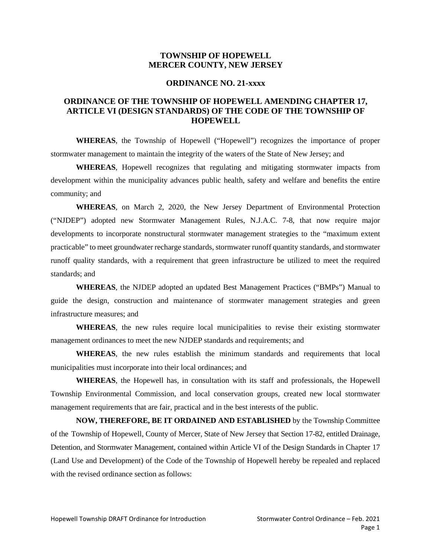#### **TOWNSHIP OF HOPEWELL MERCER COUNTY, NEW JERSEY**

#### **ORDINANCE NO. 21-xxxx**

### **ORDINANCE OF THE TOWNSHIP OF HOPEWELL AMENDING CHAPTER 17, ARTICLE VI (DESIGN STANDARDS) OF THE CODE OF THE TOWNSHIP OF HOPEWELL**

**WHEREAS**, the Township of Hopewell ("Hopewell") recognizes the importance of proper stormwater management to maintain the integrity of the waters of the State of New Jersey; and

**WHEREAS**, Hopewell recognizes that regulating and mitigating stormwater impacts from development within the municipality advances public health, safety and welfare and benefits the entire community; and

**WHEREAS**, on March 2, 2020, the New Jersey Department of Environmental Protection ("NJDEP") adopted new Stormwater Management Rules, N.J.A.C. 7-8, that now require major developments to incorporate nonstructural stormwater management strategies to the "maximum extent practicable" to meet groundwater recharge standards, stormwater runoff quantity standards, and stormwater runoff quality standards, with a requirement that green infrastructure be utilized to meet the required standards; and

**WHEREAS**, the NJDEP adopted an updated Best Management Practices ("BMPs") Manual to guide the design, construction and maintenance of stormwater management strategies and green infrastructure measures; and

**WHEREAS**, the new rules require local municipalities to revise their existing stormwater management ordinances to meet the new NJDEP standards and requirements; and

**WHEREAS**, the new rules establish the minimum standards and requirements that local municipalities must incorporate into their local ordinances; and

**WHEREAS**, the Hopewell has, in consultation with its staff and professionals, the Hopewell Township Environmental Commission, and local conservation groups, created new local stormwater management requirements that are fair, practical and in the best interests of the public.

**NOW, THEREFORE, BE IT ORDAINED AND ESTABLISHED** by the Township Committee of the Township of Hopewell, County of Mercer, State of New Jersey that Section 17-82, entitled Drainage, Detention, and Stormwater Management, contained within Article VI of the Design Standards in Chapter 17 (Land Use and Development) of the Code of the Township of Hopewell hereby be repealed and replaced with the revised ordinance section as follows: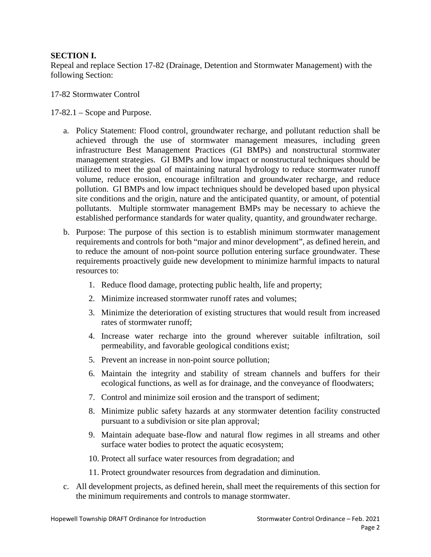### **SECTION I.**

Repeal and replace Section 17-82 (Drainage, Detention and Stormwater Management) with the following Section:

### 17-82 Stormwater Control

17-82.1 – Scope and Purpose.

- a. Policy Statement: Flood control, groundwater recharge, and pollutant reduction shall be achieved through the use of stormwater management measures, including green infrastructure Best Management Practices (GI BMPs) and nonstructural stormwater management strategies. GI BMPs and low impact or nonstructural techniques should be utilized to meet the goal of maintaining natural hydrology to reduce stormwater runoff volume, reduce erosion, encourage infiltration and groundwater recharge, and reduce pollution. GI BMPs and low impact techniques should be developed based upon physical site conditions and the origin, nature and the anticipated quantity, or amount, of potential pollutants. Multiple stormwater management BMPs may be necessary to achieve the established performance standards for water quality, quantity, and groundwater recharge.
- b. Purpose: The purpose of this section is to establish minimum stormwater management requirements and controls for both "major and minor development", as defined herein, and to reduce the amount of non-point source pollution entering surface groundwater. These requirements proactively guide new development to minimize harmful impacts to natural resources to:
	- 1. Reduce flood damage, protecting public health, life and property;
	- 2. Minimize increased stormwater runoff rates and volumes;
	- 3. Minimize the deterioration of existing structures that would result from increased rates of stormwater runoff;
	- 4. Increase water recharge into the ground wherever suitable infiltration, soil permeability, and favorable geological conditions exist;
	- 5. Prevent an increase in non-point source pollution;
	- 6. Maintain the integrity and stability of stream channels and buffers for their ecological functions, as well as for drainage, and the conveyance of floodwaters;
	- 7. Control and minimize soil erosion and the transport of sediment;
	- 8. Minimize public safety hazards at any stormwater detention facility constructed pursuant to a subdivision or site plan approval;
	- 9. Maintain adequate base-flow and natural flow regimes in all streams and other surface water bodies to protect the aquatic ecosystem;
	- 10. Protect all surface water resources from degradation; and
	- 11. Protect groundwater resources from degradation and diminution.
- c. All development projects, as defined herein, shall meet the requirements of this section for the minimum requirements and controls to manage stormwater.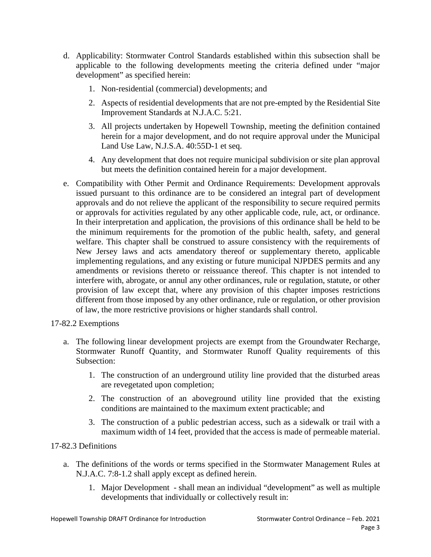- d. Applicability: Stormwater Control Standards established within this subsection shall be applicable to the following developments meeting the criteria defined under "major development" as specified herein:
	- 1. Non-residential (commercial) developments; and
	- 2. Aspects of residential developments that are not pre-empted by the Residential Site Improvement Standards at N.J.A.C. 5:21.
	- 3. All projects undertaken by Hopewell Township, meeting the definition contained herein for a major development, and do not require approval under the Municipal Land Use Law, N.J.S.A. 40:55D-1 et seq.
	- 4. Any development that does not require municipal subdivision or site plan approval but meets the definition contained herein for a major development.
- e. Compatibility with Other Permit and Ordinance Requirements: Development approvals issued pursuant to this ordinance are to be considered an integral part of development approvals and do not relieve the applicant of the responsibility to secure required permits or approvals for activities regulated by any other applicable code, rule, act, or ordinance. In their interpretation and application, the provisions of this ordinance shall be held to be the minimum requirements for the promotion of the public health, safety, and general welfare. This chapter shall be construed to assure consistency with the requirements of New Jersey laws and acts amendatory thereof or supplementary thereto, applicable implementing regulations, and any existing or future municipal NJPDES permits and any amendments or revisions thereto or reissuance thereof. This chapter is not intended to interfere with, abrogate, or annul any other ordinances, rule or regulation, statute, or other provision of law except that, where any provision of this chapter imposes restrictions different from those imposed by any other ordinance, rule or regulation, or other provision of law, the more restrictive provisions or higher standards shall control.

## 17-82.2 Exemptions

- a. The following linear development projects are exempt from the Groundwater Recharge, Stormwater Runoff Quantity, and Stormwater Runoff Quality requirements of this Subsection:
	- 1. The construction of an underground utility line provided that the disturbed areas are revegetated upon completion;
	- 2. The construction of an aboveground utility line provided that the existing conditions are maintained to the maximum extent practicable; and
	- 3. The construction of a public pedestrian access, such as a sidewalk or trail with a maximum width of 14 feet, provided that the access is made of permeable material.

## 17-82.3 Definitions

- a. The definitions of the words or terms specified in the Stormwater Management Rules at N.J.A.C. 7:8-1.2 shall apply except as defined herein.
	- 1. Major Development shall mean an individual "development" as well as multiple developments that individually or collectively result in: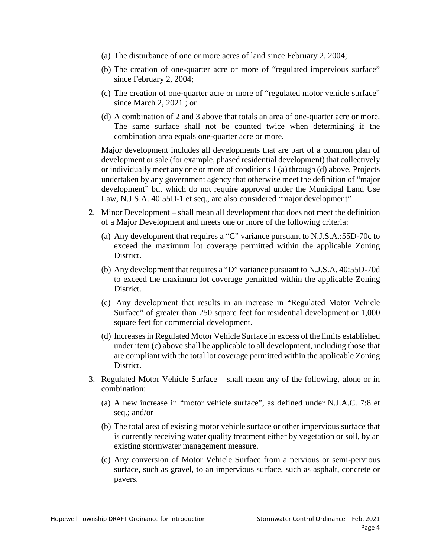- (a) The disturbance of one or more acres of land since February 2, 2004;
- (b) The creation of one-quarter acre or more of "regulated impervious surface" since February 2, 2004;
- (c) The creation of one-quarter acre or more of "regulated motor vehicle surface" since March 2, 2021 ; or
- (d) A combination of 2 and 3 above that totals an area of one-quarter acre or more. The same surface shall not be counted twice when determining if the combination area equals one-quarter acre or more.

Major development includes all developments that are part of a common plan of development or sale (for example, phased residential development) that collectively or individually meet any one or more of conditions 1 (a) through (d) above. Projects undertaken by any government agency that otherwise meet the definition of "major development" but which do not require approval under the Municipal Land Use Law, N.J.S.A. 40:55D-1 et seq., are also considered "major development"

- 2. Minor Development shall mean all development that does not meet the definition of a Major Development and meets one or more of the following criteria:
	- (a) Any development that requires a "C" variance pursuant to N.J.S.A.:55D-70c to exceed the maximum lot coverage permitted within the applicable Zoning District.
	- (b) Any development that requires a "D" variance pursuant to N.J.S.A. 40:55D-70d to exceed the maximum lot coverage permitted within the applicable Zoning District.
	- (c) Any development that results in an increase in "Regulated Motor Vehicle Surface" of greater than 250 square feet for residential development or 1,000 square feet for commercial development.
	- (d) Increases in Regulated Motor Vehicle Surface in excess of the limits established under item (c) above shall be applicable to all development, including those that are compliant with the total lot coverage permitted within the applicable Zoning District.
- 3. Regulated Motor Vehicle Surface shall mean any of the following, alone or in combination:
	- (a) A new increase in "motor vehicle surface", as defined under N.J.A.C. 7:8 et seq.; and/or
	- (b) The total area of existing motor vehicle surface or other impervious surface that is currently receiving water quality treatment either by vegetation or soil, by an existing stormwater management measure.
	- (c) Any conversion of Motor Vehicle Surface from a pervious or semi-pervious surface, such as gravel, to an impervious surface, such as asphalt, concrete or pavers.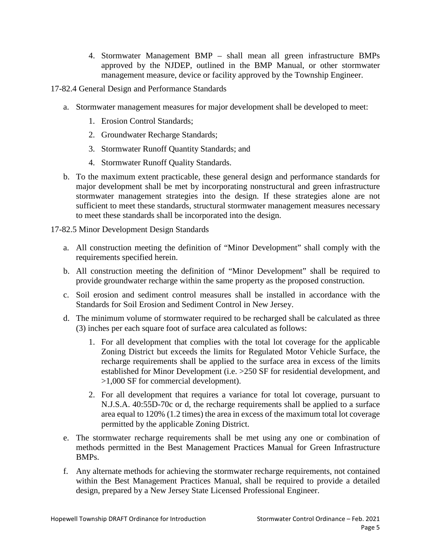- 4. Stormwater Management BMP shall mean all green infrastructure BMPs approved by the NJDEP, outlined in the BMP Manual, or other stormwater management measure, device or facility approved by the Township Engineer.
- 17-82.4 General Design and Performance Standards
	- a. Stormwater management measures for major development shall be developed to meet:
		- 1. Erosion Control Standards;
		- 2. Groundwater Recharge Standards;
		- 3. Stormwater Runoff Quantity Standards; and
		- 4. Stormwater Runoff Quality Standards.
	- b. To the maximum extent practicable, these general design and performance standards for major development shall be met by incorporating nonstructural and green infrastructure stormwater management strategies into the design. If these strategies alone are not sufficient to meet these standards, structural stormwater management measures necessary to meet these standards shall be incorporated into the design.

17-82.5 Minor Development Design Standards

- a. All construction meeting the definition of "Minor Development" shall comply with the requirements specified herein.
- b. All construction meeting the definition of "Minor Development" shall be required to provide groundwater recharge within the same property as the proposed construction.
- c. Soil erosion and sediment control measures shall be installed in accordance with the Standards for Soil Erosion and Sediment Control in New Jersey.
- d. The minimum volume of stormwater required to be recharged shall be calculated as three (3) inches per each square foot of surface area calculated as follows:
	- 1. For all development that complies with the total lot coverage for the applicable Zoning District but exceeds the limits for Regulated Motor Vehicle Surface, the recharge requirements shall be applied to the surface area in excess of the limits established for Minor Development (i.e. >250 SF for residential development, and >1,000 SF for commercial development).
	- 2. For all development that requires a variance for total lot coverage, pursuant to N.J.S.A. 40:55D-70c or d, the recharge requirements shall be applied to a surface area equal to 120% (1.2 times) the area in excess of the maximum total lot coverage permitted by the applicable Zoning District.
- e. The stormwater recharge requirements shall be met using any one or combination of methods permitted in the Best Management Practices Manual for Green Infrastructure BMPs.
- f. Any alternate methods for achieving the stormwater recharge requirements, not contained within the Best Management Practices Manual, shall be required to provide a detailed design, prepared by a New Jersey State Licensed Professional Engineer.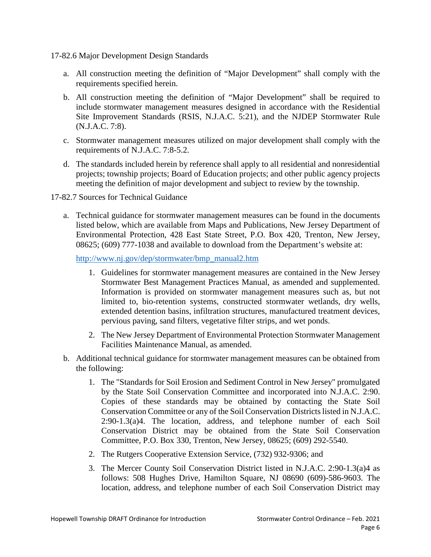17-82.6 Major Development Design Standards

- a. All construction meeting the definition of "Major Development" shall comply with the requirements specified herein.
- b. All construction meeting the definition of "Major Development" shall be required to include stormwater management measures designed in accordance with the Residential Site Improvement Standards (RSIS, N.J.A.C. 5:21), and the NJDEP Stormwater Rule (N.J.A.C. 7:8).
- c. Stormwater management measures utilized on major development shall comply with the requirements of N.J.A.C. 7:8-5.2.
- d. The standards included herein by reference shall apply to all residential and nonresidential projects; township projects; Board of Education projects; and other public agency projects meeting the definition of major development and subject to review by the township.
- 17-82.7 Sources for Technical Guidance
	- a. Technical guidance for stormwater management measures can be found in the documents listed below, which are available from Maps and Publications, New Jersey Department of Environmental Protection, 428 East State Street, P.O. Box 420, Trenton, New Jersey, 08625; (609) 777-1038 and available to download from the Department's website at:

[http://www.nj.gov/dep/stormwater/bmp\\_manual2.htm](http://www.nj.gov/dep/stormwater/bmp_manual2.htm)

- 1. Guidelines for stormwater management measures are contained in the New Jersey Stormwater Best Management Practices Manual, as amended and supplemented. Information is provided on stormwater management measures such as, but not limited to, bio-retention systems, constructed stormwater wetlands, dry wells, extended detention basins, infiltration structures, manufactured treatment devices, pervious paving, sand filters, vegetative filter strips, and wet ponds.
- 2. The New Jersey Department of Environmental Protection Stormwater Management Facilities Maintenance Manual, as amended.
- b. Additional technical guidance for stormwater management measures can be obtained from the following:
	- 1. The "Standards for Soil Erosion and Sediment Control in New Jersey" promulgated by the State Soil Conservation Committee and incorporated into N.J.A.C. 2:90. Copies of these standards may be obtained by contacting the State Soil Conservation Committee or any of the Soil Conservation Districts listed in N.J.A.C. 2:90-1.3(a)4. The location, address, and telephone number of each Soil Conservation District may be obtained from the State Soil Conservation Committee, P.O. Box 330, Trenton, New Jersey, 08625; (609) 292-5540.
	- 2. The Rutgers Cooperative Extension Service, (732) 932-9306; and
	- 3. The Mercer County Soil Conservation District listed in N.J.A.C. 2:90-1.3(a)4 as follows: 508 Hughes Drive, Hamilton Square, NJ 08690 (609)-586-9603. The location, address, and telephone number of each Soil Conservation District may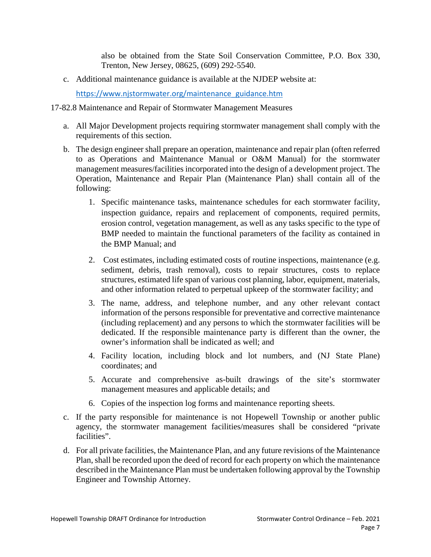also be obtained from the State Soil Conservation Committee, P.O. Box 330, Trenton, New Jersey, 08625, (609) 292-5540.

c. Additional maintenance guidance is available at the NJDEP website at:

[https://www.njstormwater.org/maintenance\\_guidance.htm](https://www.njstormwater.org/maintenance_guidance.htm)

### 17-82.8 Maintenance and Repair of Stormwater Management Measures

- a. All Major Development projects requiring stormwater management shall comply with the requirements of this section.
- b. The design engineer shall prepare an operation, maintenance and repair plan (often referred to as Operations and Maintenance Manual or O&M Manual) for the stormwater management measures/facilities incorporated into the design of a development project. The Operation, Maintenance and Repair Plan (Maintenance Plan) shall contain all of the following:
	- 1. Specific maintenance tasks, maintenance schedules for each stormwater facility, inspection guidance, repairs and replacement of components, required permits, erosion control, vegetation management, as well as any tasks specific to the type of BMP needed to maintain the functional parameters of the facility as contained in the BMP Manual; and
	- 2. Cost estimates, including estimated costs of routine inspections, maintenance (e.g. sediment, debris, trash removal), costs to repair structures, costs to replace structures, estimated life span of various cost planning, labor, equipment, materials, and other information related to perpetual upkeep of the stormwater facility; and
	- 3. The name, address, and telephone number, and any other relevant contact information of the persons responsible for preventative and corrective maintenance (including replacement) and any persons to which the stormwater facilities will be dedicated. If the responsible maintenance party is different than the owner, the owner's information shall be indicated as well; and
	- 4. Facility location, including block and lot numbers, and (NJ State Plane) coordinates; and
	- 5. Accurate and comprehensive as-built drawings of the site's stormwater management measures and applicable details; and
	- 6. Copies of the inspection log forms and maintenance reporting sheets.
- c. If the party responsible for maintenance is not Hopewell Township or another public agency, the stormwater management facilities/measures shall be considered "private facilities".
- d. For all private facilities, the Maintenance Plan, and any future revisions of the Maintenance Plan, shall be recorded upon the deed of record for each property on which the maintenance described in the Maintenance Plan must be undertaken following approval by the Township Engineer and Township Attorney.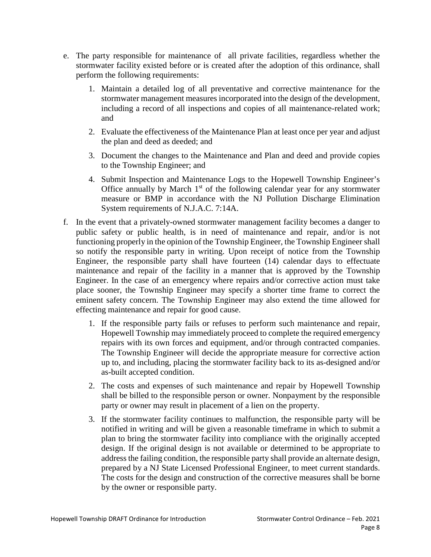- e. The party responsible for maintenance of all private facilities, regardless whether the stormwater facility existed before or is created after the adoption of this ordinance, shall perform the following requirements:
	- 1. Maintain a detailed log of all preventative and corrective maintenance for the stormwater management measures incorporated into the design of the development, including a record of all inspections and copies of all maintenance-related work; and
	- 2. Evaluate the effectiveness of the Maintenance Plan at least once per year and adjust the plan and deed as deeded; and
	- 3. Document the changes to the Maintenance and Plan and deed and provide copies to the Township Engineer; and
	- 4. Submit Inspection and Maintenance Logs to the Hopewell Township Engineer's Office annually by March  $1<sup>st</sup>$  of the following calendar year for any stormwater measure or BMP in accordance with the NJ Pollution Discharge Elimination System requirements of N.J.A.C. 7:14A.
- f. In the event that a privately-owned stormwater management facility becomes a danger to public safety or public health, is in need of maintenance and repair, and/or is not functioning properly in the opinion of the Township Engineer, the Township Engineer shall so notify the responsible party in writing. Upon receipt of notice from the Township Engineer, the responsible party shall have fourteen (14) calendar days to effectuate maintenance and repair of the facility in a manner that is approved by the Township Engineer. In the case of an emergency where repairs and/or corrective action must take place sooner, the Township Engineer may specify a shorter time frame to correct the eminent safety concern. The Township Engineer may also extend the time allowed for effecting maintenance and repair for good cause.
	- 1. If the responsible party fails or refuses to perform such maintenance and repair, Hopewell Township may immediately proceed to complete the required emergency repairs with its own forces and equipment, and/or through contracted companies. The Township Engineer will decide the appropriate measure for corrective action up to, and including, placing the stormwater facility back to its as-designed and/or as-built accepted condition.
	- 2. The costs and expenses of such maintenance and repair by Hopewell Township shall be billed to the responsible person or owner. Nonpayment by the responsible party or owner may result in placement of a lien on the property.
	- 3. If the stormwater facility continues to malfunction, the responsible party will be notified in writing and will be given a reasonable timeframe in which to submit a plan to bring the stormwater facility into compliance with the originally accepted design. If the original design is not available or determined to be appropriate to address the failing condition, the responsible party shall provide an alternate design, prepared by a NJ State Licensed Professional Engineer, to meet current standards. The costs for the design and construction of the corrective measures shall be borne by the owner or responsible party.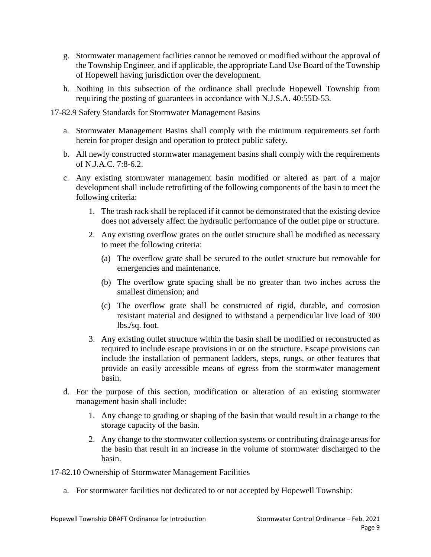- g. Stormwater management facilities cannot be removed or modified without the approval of the Township Engineer, and if applicable, the appropriate Land Use Board of the Township of Hopewell having jurisdiction over the development.
- h. Nothing in this subsection of the ordinance shall preclude Hopewell Township from requiring the posting of guarantees in accordance with N.J.S.A. 40:55D-53.
- 17-82.9 Safety Standards for Stormwater Management Basins
	- a. Stormwater Management Basins shall comply with the minimum requirements set forth herein for proper design and operation to protect public safety.
	- b. All newly constructed stormwater management basins shall comply with the requirements of N.J.A.C. 7:8-6.2.
	- c. Any existing stormwater management basin modified or altered as part of a major development shall include retrofitting of the following components of the basin to meet the following criteria:
		- 1. The trash rack shall be replaced if it cannot be demonstrated that the existing device does not adversely affect the hydraulic performance of the outlet pipe or structure.
		- 2. Any existing overflow grates on the outlet structure shall be modified as necessary to meet the following criteria:
			- (a) The overflow grate shall be secured to the outlet structure but removable for emergencies and maintenance.
			- (b) The overflow grate spacing shall be no greater than two inches across the smallest dimension; and
			- (c) The overflow grate shall be constructed of rigid, durable, and corrosion resistant material and designed to withstand a perpendicular live load of 300 lbs./sq. foot.
		- 3. Any existing outlet structure within the basin shall be modified or reconstructed as required to include escape provisions in or on the structure. Escape provisions can include the installation of permanent ladders, steps, rungs, or other features that provide an easily accessible means of egress from the stormwater management basin.
	- d. For the purpose of this section, modification or alteration of an existing stormwater management basin shall include:
		- 1. Any change to grading or shaping of the basin that would result in a change to the storage capacity of the basin.
		- 2. Any change to the stormwater collection systems or contributing drainage areas for the basin that result in an increase in the volume of stormwater discharged to the basin.

17-82.10 Ownership of Stormwater Management Facilities

a. For stormwater facilities not dedicated to or not accepted by Hopewell Township: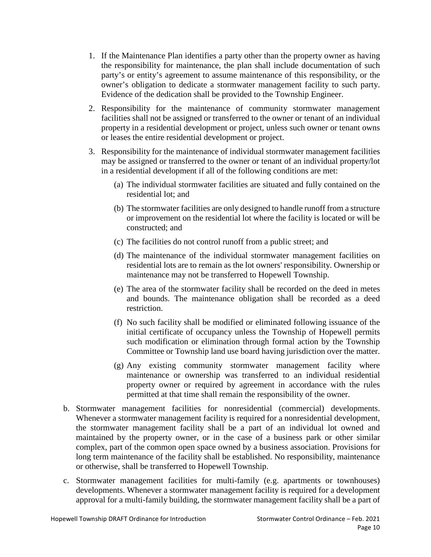- 1. If the Maintenance Plan identifies a party other than the property owner as having the responsibility for maintenance, the plan shall include documentation of such party's or entity's agreement to assume maintenance of this responsibility, or the owner's obligation to dedicate a stormwater management facility to such party. Evidence of the dedication shall be provided to the Township Engineer.
- 2. Responsibility for the maintenance of community stormwater management facilities shall not be assigned or transferred to the owner or tenant of an individual property in a residential development or project, unless such owner or tenant owns or leases the entire residential development or project.
- 3. Responsibility for the maintenance of individual stormwater management facilities may be assigned or transferred to the owner or tenant of an individual property/lot in a residential development if all of the following conditions are met:
	- (a) The individual stormwater facilities are situated and fully contained on the residential lot; and
	- (b) The stormwater facilities are only designed to handle runoff from a structure or improvement on the residential lot where the facility is located or will be constructed; and
	- (c) The facilities do not control runoff from a public street; and
	- (d) The maintenance of the individual stormwater management facilities on residential lots are to remain as the lot owners' responsibility. Ownership or maintenance may not be transferred to Hopewell Township.
	- (e) The area of the stormwater facility shall be recorded on the deed in metes and bounds. The maintenance obligation shall be recorded as a deed restriction.
	- (f) No such facility shall be modified or eliminated following issuance of the initial certificate of occupancy unless the Township of Hopewell permits such modification or elimination through formal action by the Township Committee or Township land use board having jurisdiction over the matter.
	- (g) Any existing community stormwater management facility where maintenance or ownership was transferred to an individual residential property owner or required by agreement in accordance with the rules permitted at that time shall remain the responsibility of the owner.
- b. Stormwater management facilities for nonresidential (commercial) developments. Whenever a stormwater management facility is required for a nonresidential development, the stormwater management facility shall be a part of an individual lot owned and maintained by the property owner, or in the case of a business park or other similar complex, part of the common open space owned by a business association. Provisions for long term maintenance of the facility shall be established. No responsibility, maintenance or otherwise, shall be transferred to Hopewell Township.
- c. Stormwater management facilities for multi-family (e.g. apartments or townhouses) developments. Whenever a stormwater management facility is required for a development approval for a multi-family building, the stormwater management facility shall be a part of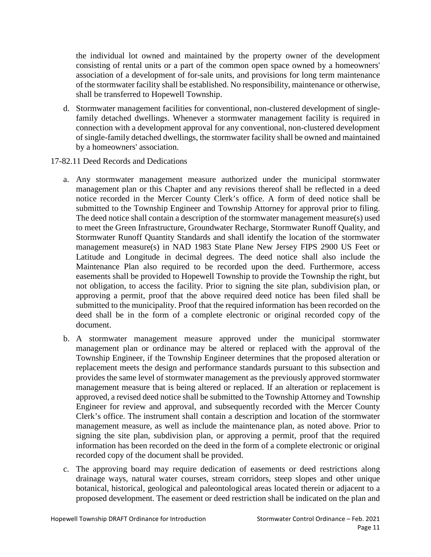the individual lot owned and maintained by the property owner of the development consisting of rental units or a part of the common open space owned by a homeowners' association of a development of for-sale units, and provisions for long term maintenance of the stormwater facility shall be established. No responsibility, maintenance or otherwise, shall be transferred to Hopewell Township.

- d. Stormwater management facilities for conventional, non-clustered development of singlefamily detached dwellings. Whenever a stormwater management facility is required in connection with a development approval for any conventional, non-clustered development of single-family detached dwellings, the stormwater facility shall be owned and maintained by a homeowners' association.
- 17-82.11 Deed Records and Dedications
	- a. Any stormwater management measure authorized under the municipal stormwater management plan or this Chapter and any revisions thereof shall be reflected in a deed notice recorded in the Mercer County Clerk's office. A form of deed notice shall be submitted to the Township Engineer and Township Attorney for approval prior to filing. The deed notice shall contain a description of the stormwater management measure(s) used to meet the Green Infrastructure, Groundwater Recharge, Stormwater Runoff Quality, and Stormwater Runoff Quantity Standards and shall identify the location of the stormwater management measure(s) in NAD 1983 State Plane New Jersey FIPS 2900 US Feet or Latitude and Longitude in decimal degrees. The deed notice shall also include the Maintenance Plan also required to be recorded upon the deed. Furthermore, access easements shall be provided to Hopewell Township to provide the Township the right, but not obligation, to access the facility. Prior to signing the site plan, subdivision plan, or approving a permit, proof that the above required deed notice has been filed shall be submitted to the municipality. Proof that the required information has been recorded on the deed shall be in the form of a complete electronic or original recorded copy of the document.
	- b. A stormwater management measure approved under the municipal stormwater management plan or ordinance may be altered or replaced with the approval of the Township Engineer, if the Township Engineer determines that the proposed alteration or replacement meets the design and performance standards pursuant to this subsection and provides the same level of stormwater management as the previously approved stormwater management measure that is being altered or replaced. If an alteration or replacement is approved, a revised deed notice shall be submitted to the Township Attorney and Township Engineer for review and approval, and subsequently recorded with the Mercer County Clerk's office. The instrument shall contain a description and location of the stormwater management measure, as well as include the maintenance plan, as noted above. Prior to signing the site plan, subdivision plan, or approving a permit, proof that the required information has been recorded on the deed in the form of a complete electronic or original recorded copy of the document shall be provided.
	- c. The approving board may require dedication of easements or deed restrictions along drainage ways, natural water courses, stream corridors, steep slopes and other unique botanical, historical, geological and paleontological areas located therein or adjacent to a proposed development. The easement or deed restriction shall be indicated on the plan and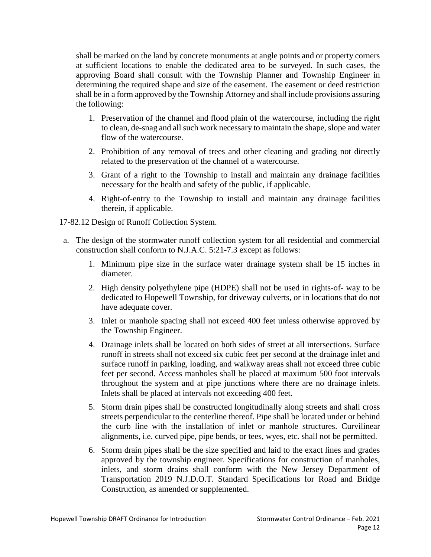shall be marked on the land by concrete monuments at angle points and or property corners at sufficient locations to enable the dedicated area to be surveyed. In such cases, the approving Board shall consult with the Township Planner and Township Engineer in determining the required shape and size of the easement. The easement or deed restriction shall be in a form approved by the Township Attorney and shall include provisions assuring the following:

- 1. Preservation of the channel and flood plain of the watercourse, including the right to clean, de-snag and all such work necessary to maintain the shape, slope and water flow of the watercourse.
- 2. Prohibition of any removal of trees and other cleaning and grading not directly related to the preservation of the channel of a watercourse.
- 3. Grant of a right to the Township to install and maintain any drainage facilities necessary for the health and safety of the public, if applicable.
- 4. Right-of-entry to the Township to install and maintain any drainage facilities therein, if applicable.

17-82.12 Design of Runoff Collection System.

- a. The design of the stormwater runoff collection system for all residential and commercial construction shall conform to N.J.A.C. 5:21-7.3 except as follows:
	- 1. Minimum pipe size in the surface water drainage system shall be 15 inches in diameter.
	- 2. High density polyethylene pipe (HDPE) shall not be used in rights-of- way to be dedicated to Hopewell Township, for driveway culverts, or in locations that do not have adequate cover.
	- 3. Inlet or manhole spacing shall not exceed 400 feet unless otherwise approved by the Township Engineer.
	- 4. Drainage inlets shall be located on both sides of street at all intersections. Surface runoff in streets shall not exceed six cubic feet per second at the drainage inlet and surface runoff in parking, loading, and walkway areas shall not exceed three cubic feet per second. Access manholes shall be placed at maximum 500 foot intervals throughout the system and at pipe junctions where there are no drainage inlets. Inlets shall be placed at intervals not exceeding 400 feet.
	- 5. Storm drain pipes shall be constructed longitudinally along streets and shall cross streets perpendicular to the centerline thereof. Pipe shall be located under or behind the curb line with the installation of inlet or manhole structures. Curvilinear alignments, i.e. curved pipe, pipe bends, or tees, wyes, etc. shall not be permitted.
	- 6. Storm drain pipes shall be the size specified and laid to the exact lines and grades approved by the township engineer. Specifications for construction of manholes, inlets, and storm drains shall conform with the New Jersey Department of Transportation 2019 N.J.D.O.T. Standard Specifications for Road and Bridge Construction, as amended or supplemented.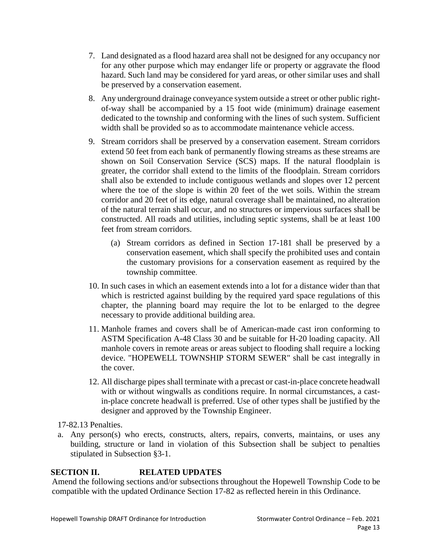- 7. Land designated as a flood hazard area shall not be designed for any occupancy nor for any other purpose which may endanger life or property or aggravate the flood hazard. Such land may be considered for yard areas, or other similar uses and shall be preserved by a conservation easement.
- 8. Any underground drainage conveyance system outside a street or other public rightof-way shall be accompanied by a 15 foot wide (minimum) drainage easement dedicated to the township and conforming with the lines of such system. Sufficient width shall be provided so as to accommodate maintenance vehicle access.
- 9. Stream corridors shall be preserved by a conservation easement. Stream corridors extend 50 feet from each bank of permanently flowing streams as these streams are shown on Soil Conservation Service (SCS) maps. If the natural floodplain is greater, the corridor shall extend to the limits of the floodplain. Stream corridors shall also be extended to include contiguous wetlands and slopes over 12 percent where the toe of the slope is within 20 feet of the wet soils. Within the stream corridor and 20 feet of its edge, natural coverage shall be maintained, no alteration of the natural terrain shall occur, and no structures or impervious surfaces shall be constructed. All roads and utilities, including septic systems, shall be at least 100 feet from stream corridors.
	- (a) Stream corridors as defined in Section 17-181 shall be preserved by a conservation easement, which shall specify the prohibited uses and contain the customary provisions for a conservation easement as required by the township committee.
- 10. In such cases in which an easement extends into a lot for a distance wider than that which is restricted against building by the required yard space regulations of this chapter, the planning board may require the lot to be enlarged to the degree necessary to provide additional building area.
- 11. Manhole frames and covers shall be of American-made cast iron conforming to ASTM Specification A-48 Class 30 and be suitable for H-20 loading capacity. All manhole covers in remote areas or areas subject to flooding shall require a locking device. "HOPEWELL TOWNSHIP STORM SEWER" shall be cast integrally in the cover.
- 12. All discharge pipes shall terminate with a precast or cast-in-place concrete headwall with or without wingwalls as conditions require. In normal circumstances, a castin-place concrete headwall is preferred. Use of other types shall be justified by the designer and approved by the Township Engineer.

17-82.13 Penalties.

a. Any person(s) who erects, constructs, alters, repairs, converts, maintains, or uses any building, structure or land in violation of this Subsection shall be subject to penalties stipulated in Subsection §3-1.

# **SECTION II. RELATED UPDATES**

Amend the following sections and/or subsections throughout the Hopewell Township Code to be compatible with the updated Ordinance Section 17-82 as reflected herein in this Ordinance.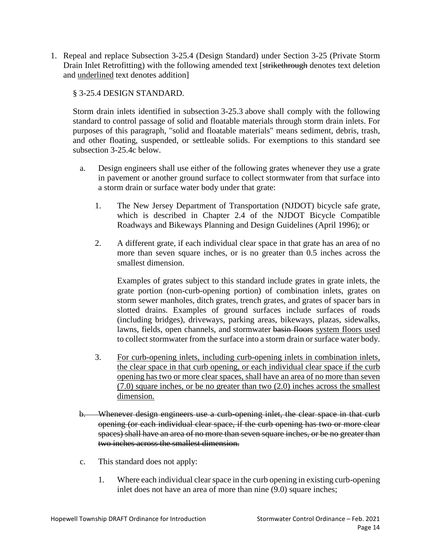1. Repeal and replace Subsection 3-25.4 (Design Standard) under Section 3-25 (Private Storm Drain Inlet Retrofitting) with the following amended text [strikethrough denotes text deletion and underlined text denotes addition]

### § 3-25.4 [DESIGN STANDARD.](https://ecode360.com/36092491?highlight=stormwater&searchId=599640207443839#36092500)

Storm drain inlets identified in subsection [3-25.3](https://ecode360.com/36092497#36092497) above shall comply with the following standard to control passage of solid and floatable materials through storm drain inlets. For purposes of this paragraph, "solid and floatable materials" means sediment, debris, trash, and other floating, suspended, or settleable solids. For exemptions to this standard see subsection [3-25.4c](https://ecode360.com/36092505#36092505) below.

- a. Design engineers shall use either of the following grates whenever they use a grate in pavement or another ground surface to collect stormwater from that surface into a storm drain or surface water body under that grate:
	- 1. The New Jersey Department of Transportation (NJDOT) bicycle safe grate, which is described in Chapter 2.4 of the NJDOT Bicycle Compatible Roadways and Bikeways Planning and Design Guidelines (April 1996); or
	- 2. A different grate, if each individual clear space in that grate has an area of no more than seven square inches, or is no greater than 0.5 inches across the smallest dimension.

Examples of grates subject to this standard include grates in grate inlets, the grate portion (non-curb-opening portion) of combination inlets, grates on storm sewer manholes, ditch grates, trench grates, and grates of spacer bars in slotted drains. Examples of ground surfaces include surfaces of roads (including bridges), driveways, parking areas, bikeways, plazas, sidewalks, lawns, fields, open channels, and stormwater basin floors system floors used to collect stormwater from the surface into a storm drain or surface water body.

- 3. For curb-opening inlets, including curb-opening inlets in combination inlets, the clear space in that curb opening, or each individual clear space if the curb opening has two or more clear spaces, shall have an area of no more than seven (7.0) square inches, or be no greater than two (2.0) inches across the smallest dimension.
- b. Whenever design engineers use a curb-opening inlet, the clear space in that curb opening (or each individual clear space, if the curb opening has two or more clear spaces) shall have an area of no more than seven square inches, or be no greater than two inches across the smallest dimension.
- c. This standard does not apply:
	- 1. Where each individual clear space in the curb opening in existing curb-opening inlet does not have an area of more than nine (9.0) square inches;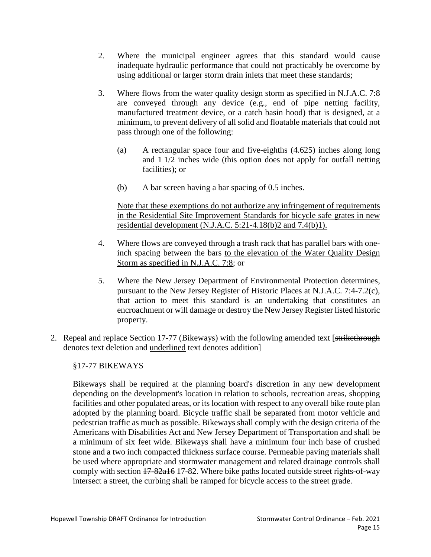- 2. Where the municipal engineer agrees that this standard would cause inadequate hydraulic performance that could not practicably be overcome by using additional or larger storm drain inlets that meet these standards;
- 3. Where flows from the water quality design storm as specified in N.J.A.C. 7:8 are conveyed through any device (e.g., end of pipe netting facility, manufactured treatment device, or a catch basin hood) that is designed, at a minimum, to prevent delivery of all solid and floatable materials that could not pass through one of the following:
	- (a) A rectangular space four and five-eighths (4.625) inches along long and 1 1/2 inches wide (this option does not apply for outfall netting facilities); or
	- (b) A bar screen having a bar spacing of 0.5 inches.

Note that these exemptions do not authorize any infringement of requirements in the Residential Site Improvement Standards for bicycle safe grates in new residential development (N.J.A.C. 5:21-4.18(b)2 and 7.4(b)1).

- 4. Where flows are conveyed through a trash rack that has parallel bars with oneinch spacing between the bars to the elevation of the Water Quality Design Storm as specified in N.J.A.C. 7:8; or
- 5. Where the New Jersey Department of Environmental Protection determines, pursuant to the New Jersey Register of Historic Places at N.J.A.C. 7:4-7.2(c), that action to meet this standard is an undertaking that constitutes an encroachment or will damage or destroy the New Jersey Register listed historic property.
- 2. Repeal and replace Section 17-77 (Bikeways) with the following amended text [strikethrough] denotes text deletion and underlined text denotes addition]

§17-77 BIKEWAYS

Bikeways shall be required at the planning board's discretion in any new development depending on the development's location in relation to schools, recreation areas, shopping facilities and other populated areas, or its location with respect to any overall bike route plan adopted by the planning board. Bicycle traffic shall be separated from motor vehicle and pedestrian traffic as much as possible. Bikeways shall comply with the design criteria of the Americans with Disabilities Act and New Jersey Department of Transportation and shall be a minimum of six feet wide. Bikeways shall have a minimum four inch base of crushed stone and a two inch compacted thickness surface course. Permeable paving materials shall be used where appropriate and stormwater management and related drainage controls shall comply with section 17-82a16 17-82. Where bike paths located outside street rights-of-way intersect a street, the curbing shall be ramped for bicycle access to the street grade.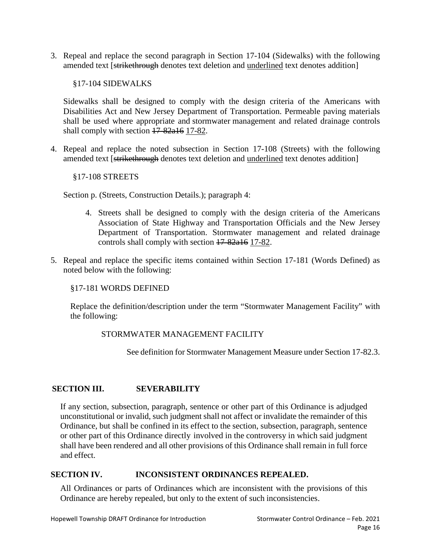3. Repeal and replace the second paragraph in Section 17-104 (Sidewalks) with the following amended text [strikethrough denotes text deletion and <u>underlined</u> text denotes addition]

§17-104 SIDEWALKS

Sidewalks shall be designed to comply with the design criteria of the Americans with Disabilities Act and New Jersey Department of Transportation. Permeable paving materials shall be used where appropriate and stormwater management and related drainage controls shall comply with section  $17-82a16$  17-82.

4. Repeal and replace the noted subsection in Section 17-108 (Streets) with the following amended text [strikethrough denotes text deletion and <u>underlined</u> text denotes addition]

### §17-108 STREETS

Section p. (Streets, Construction Details.); paragraph 4:

- 4. Streets shall be designed to comply with the design criteria of the Americans Association of State Highway and Transportation Officials and the New Jersey Department of Transportation. Stormwater management and related drainage controls shall comply with section 17-82a16 17-82.
- 5. Repeal and replace the specific items contained within Section 17-181 (Words Defined) as noted below with the following:

### §17-181 WORDS DEFINED

Replace the definition/description under the term "Stormwater Management Facility" with the following:

## STORMWATER MANAGEMENT FACILITY

See definition for Stormwater Management Measure under Section 17-82.3.

## **SECTION III. SEVERABILITY**

If any section, subsection, paragraph, sentence or other part of this Ordinance is adjudged unconstitutional or invalid, such judgment shall not affect or invalidate the remainder of this Ordinance, but shall be confined in its effect to the section, subsection, paragraph, sentence or other part of this Ordinance directly involved in the controversy in which said judgment shall have been rendered and all other provisions of this Ordinance shall remain in full force and effect.

## **SECTION IV. INCONSISTENT ORDINANCES REPEALED.**

All Ordinances or parts of Ordinances which are inconsistent with the provisions of this Ordinance are hereby repealed, but only to the extent of such inconsistencies.